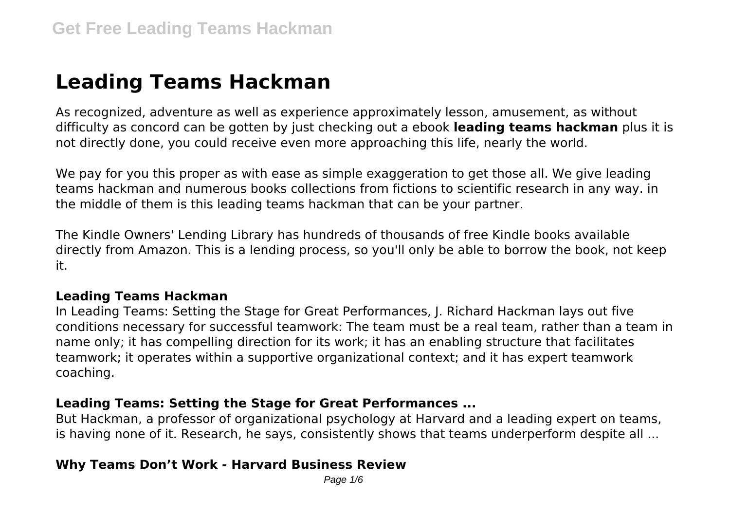# **Leading Teams Hackman**

As recognized, adventure as well as experience approximately lesson, amusement, as without difficulty as concord can be gotten by just checking out a ebook **leading teams hackman** plus it is not directly done, you could receive even more approaching this life, nearly the world.

We pay for you this proper as with ease as simple exaggeration to get those all. We give leading teams hackman and numerous books collections from fictions to scientific research in any way. in the middle of them is this leading teams hackman that can be your partner.

The Kindle Owners' Lending Library has hundreds of thousands of free Kindle books available directly from Amazon. This is a lending process, so you'll only be able to borrow the book, not keep it.

#### **Leading Teams Hackman**

In Leading Teams: Setting the Stage for Great Performances, J. Richard Hackman lays out five conditions necessary for successful teamwork: The team must be a real team, rather than a team in name only; it has compelling direction for its work; it has an enabling structure that facilitates teamwork; it operates within a supportive organizational context; and it has expert teamwork coaching.

#### **Leading Teams: Setting the Stage for Great Performances ...**

But Hackman, a professor of organizational psychology at Harvard and a leading expert on teams, is having none of it. Research, he says, consistently shows that teams underperform despite all ...

#### **Why Teams Don't Work - Harvard Business Review**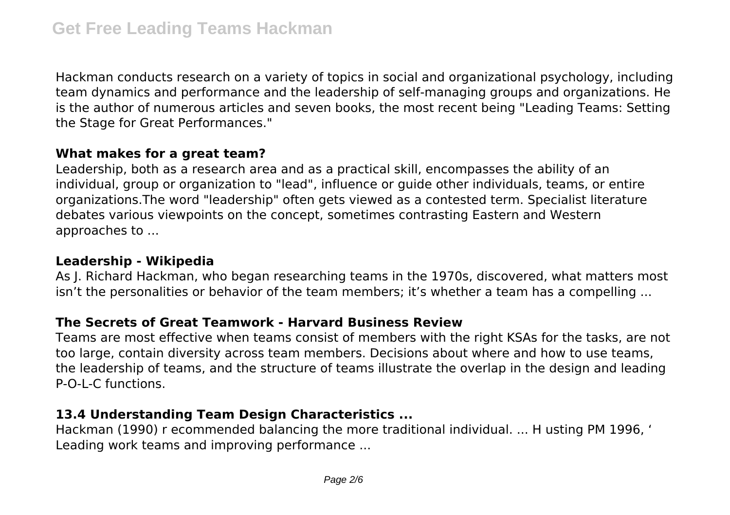Hackman conducts research on a variety of topics in social and organizational psychology, including team dynamics and performance and the leadership of self-managing groups and organizations. He is the author of numerous articles and seven books, the most recent being "Leading Teams: Setting the Stage for Great Performances."

#### **What makes for a great team?**

Leadership, both as a research area and as a practical skill, encompasses the ability of an individual, group or organization to "lead", influence or guide other individuals, teams, or entire organizations.The word "leadership" often gets viewed as a contested term. Specialist literature debates various viewpoints on the concept, sometimes contrasting Eastern and Western approaches to ...

#### **Leadership - Wikipedia**

As J. Richard Hackman, who began researching teams in the 1970s, discovered, what matters most isn't the personalities or behavior of the team members; it's whether a team has a compelling ...

## **The Secrets of Great Teamwork - Harvard Business Review**

Teams are most effective when teams consist of members with the right KSAs for the tasks, are not too large, contain diversity across team members. Decisions about where and how to use teams, the leadership of teams, and the structure of teams illustrate the overlap in the design and leading P-O-L-C functions.

#### **13.4 Understanding Team Design Characteristics ...**

Hackman (1990) r ecommended balancing the more traditional individual. ... H usting PM 1996, ' Leading work teams and improving performance ...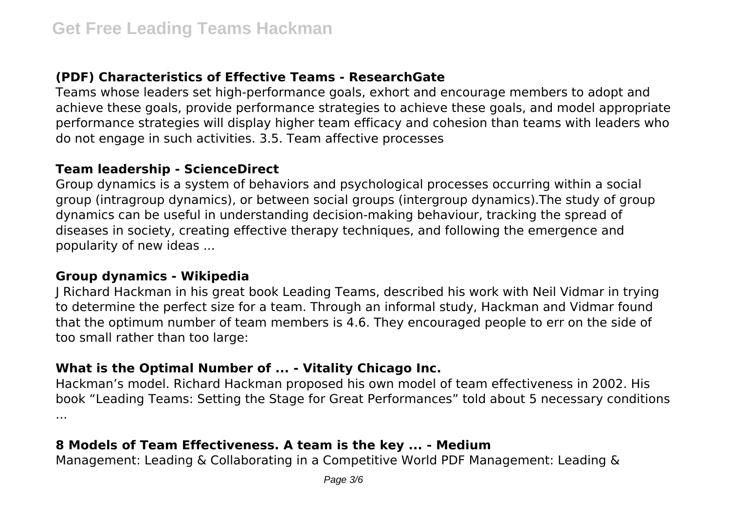## **(PDF) Characteristics of Effective Teams - ResearchGate**

Teams whose leaders set high-performance goals, exhort and encourage members to adopt and achieve these goals, provide performance strategies to achieve these goals, and model appropriate performance strategies will display higher team efficacy and cohesion than teams with leaders who do not engage in such activities. 3.5. Team affective processes

#### **Team leadership - ScienceDirect**

Group dynamics is a system of behaviors and psychological processes occurring within a social group (intragroup dynamics), or between social groups (intergroup dynamics).The study of group dynamics can be useful in understanding decision-making behaviour, tracking the spread of diseases in society, creating effective therapy techniques, and following the emergence and popularity of new ideas ...

#### **Group dynamics - Wikipedia**

J Richard Hackman in his great book Leading Teams, described his work with Neil Vidmar in trying to determine the perfect size for a team. Through an informal study, Hackman and Vidmar found that the optimum number of team members is 4.6. They encouraged people to err on the side of too small rather than too large:

#### **What is the Optimal Number of ... - Vitality Chicago Inc.**

Hackman's model. Richard Hackman proposed his own model of team effectiveness in 2002. His book "Leading Teams: Setting the Stage for Great Performances" told about 5 necessary conditions ...

## **8 Models of Team Effectiveness. A team is the key ... - Medium**

Management: Leading & Collaborating in a Competitive World PDF Management: Leading &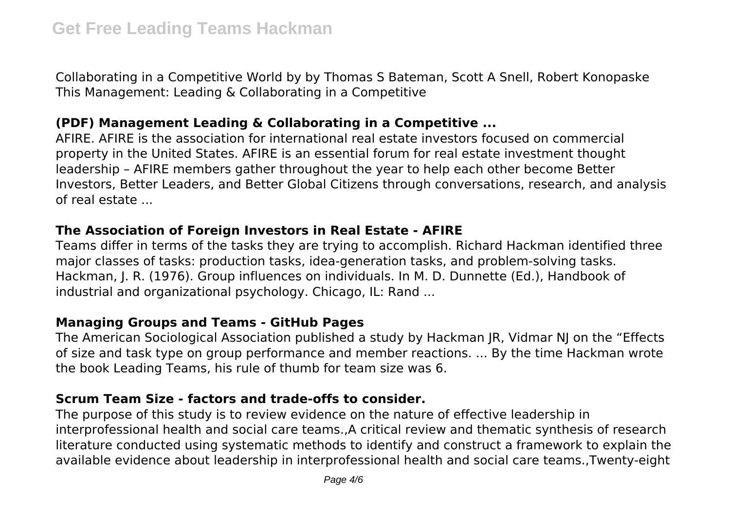Collaborating in a Competitive World by by Thomas S Bateman, Scott A Snell, Robert Konopaske This Management: Leading & Collaborating in a Competitive

#### **(PDF) Management Leading & Collaborating in a Competitive ...**

AFIRE. AFIRE is the association for international real estate investors focused on commercial property in the United States. AFIRE is an essential forum for real estate investment thought leadership – AFIRE members gather throughout the year to help each other become Better Investors, Better Leaders, and Better Global Citizens through conversations, research, and analysis of real estate ...

#### **The Association of Foreign Investors in Real Estate - AFIRE**

Teams differ in terms of the tasks they are trying to accomplish. Richard Hackman identified three major classes of tasks: production tasks, idea-generation tasks, and problem-solving tasks. Hackman, J. R. (1976). Group influences on individuals. In M. D. Dunnette (Ed.), Handbook of industrial and organizational psychology. Chicago, IL: Rand ...

#### **Managing Groups and Teams - GitHub Pages**

The American Sociological Association published a study by Hackman JR, Vidmar NJ on the "Effects of size and task type on group performance and member reactions. ... By the time Hackman wrote the book Leading Teams, his rule of thumb for team size was 6.

#### **Scrum Team Size - factors and trade-offs to consider.**

The purpose of this study is to review evidence on the nature of effective leadership in interprofessional health and social care teams.,A critical review and thematic synthesis of research literature conducted using systematic methods to identify and construct a framework to explain the available evidence about leadership in interprofessional health and social care teams.,Twenty-eight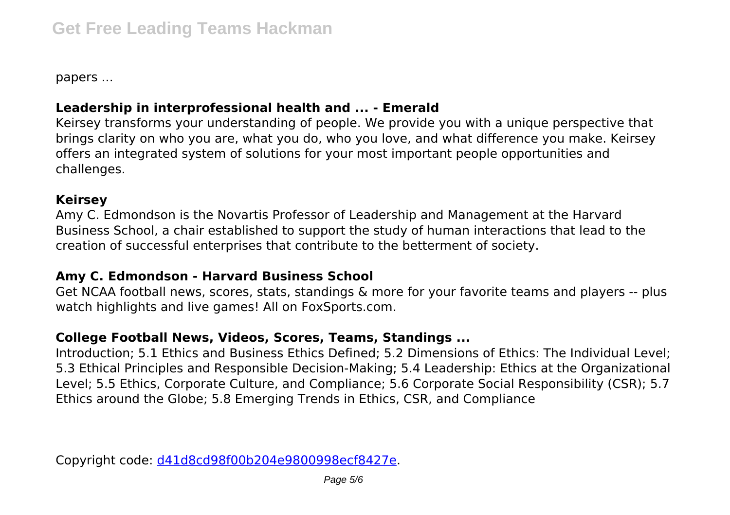papers ...

## **Leadership in interprofessional health and ... - Emerald**

Keirsey transforms your understanding of people. We provide you with a unique perspective that brings clarity on who you are, what you do, who you love, and what difference you make. Keirsey offers an integrated system of solutions for your most important people opportunities and challenges.

### **Keirsey**

Amy C. Edmondson is the Novartis Professor of Leadership and Management at the Harvard Business School, a chair established to support the study of human interactions that lead to the creation of successful enterprises that contribute to the betterment of society.

#### **Amy C. Edmondson - Harvard Business School**

Get NCAA football news, scores, stats, standings & more for your favorite teams and players -- plus watch highlights and live games! All on FoxSports.com.

## **College Football News, Videos, Scores, Teams, Standings ...**

Introduction; 5.1 Ethics and Business Ethics Defined; 5.2 Dimensions of Ethics: The Individual Level; 5.3 Ethical Principles and Responsible Decision-Making; 5.4 Leadership: Ethics at the Organizational Level; 5.5 Ethics, Corporate Culture, and Compliance; 5.6 Corporate Social Responsibility (CSR); 5.7 Ethics around the Globe; 5.8 Emerging Trends in Ethics, CSR, and Compliance

Copyright code: [d41d8cd98f00b204e9800998ecf8427e.](/sitemap.xml)